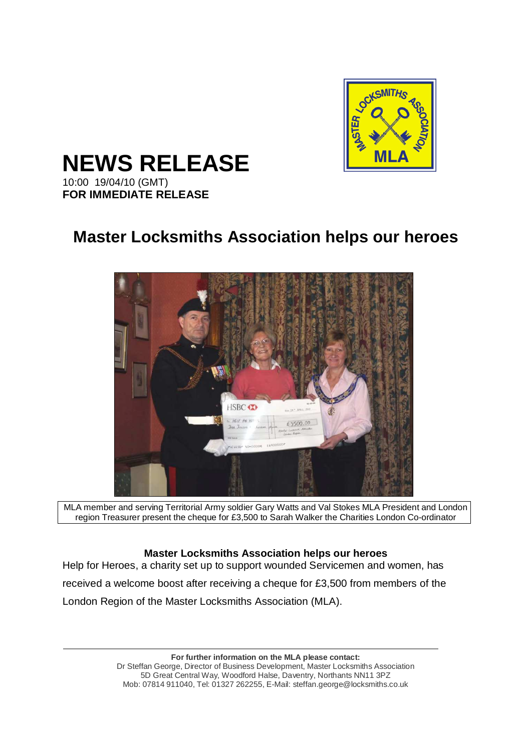

**NEWS RELEASE** 

10:00 19/04/10 (GMT) **FOR IMMEDIATE RELEASE** 

# **Master Locksmiths Association helps our heroes**



MLA member and serving Territorial Army soldier Gary Watts and Val Stokes MLA President and London region Treasurer present the cheque for £3,500 to Sarah Walker the Charities London Co-ordinator

# **Master Locksmiths Association helps our heroes**

Help for Heroes, a charity set up to support wounded Servicemen and women, has received a welcome boost after receiving a cheque for £3,500 from members of the London Region of the Master Locksmiths Association (MLA).

> **For further information on the MLA please contact:**  Dr Steffan George, Director of Business Development, Master Locksmiths Association 5D Great Central Way, Woodford Halse, Daventry, Northants NN11 3PZ Mob: 07814 911040, Tel: 01327 262255, E-Mail: steffan.george@locksmiths.co.uk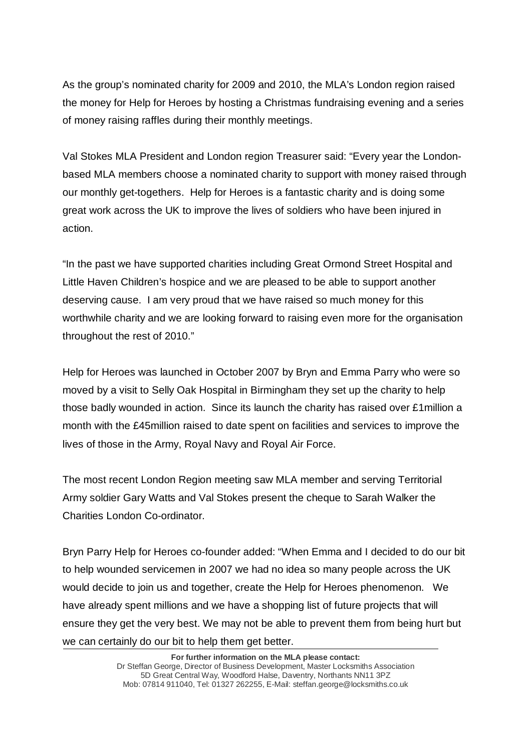As the group's nominated charity for 2009 and 2010, the MLA's London region raised the money for Help for Heroes by hosting a Christmas fundraising evening and a series of money raising raffles during their monthly meetings.

Val Stokes MLA President and London region Treasurer said: "Every year the Londonbased MLA members choose a nominated charity to support with money raised through our monthly get-togethers. Help for Heroes is a fantastic charity and is doing some great work across the UK to improve the lives of soldiers who have been injured in action.

"In the past we have supported charities including Great Ormond Street Hospital and Little Haven Children's hospice and we are pleased to be able to support another deserving cause. I am very proud that we have raised so much money for this worthwhile charity and we are looking forward to raising even more for the organisation throughout the rest of 2010."

Help for Heroes was launched in October 2007 by Bryn and Emma Parry who were so moved by a visit to Selly Oak Hospital in Birmingham they set up the charity to help those badly wounded in action. Since its launch the charity has raised over £1million a month with the £45million raised to date spent on facilities and services to improve the lives of those in the Army, Royal Navy and Royal Air Force.

The most recent London Region meeting saw MLA member and serving Territorial Army soldier Gary Watts and Val Stokes present the cheque to Sarah Walker the Charities London Co-ordinator.

Bryn Parry Help for Heroes co-founder added: "When Emma and I decided to do our bit to help wounded servicemen in 2007 we had no idea so many people across the UK would decide to join us and together, create the Help for Heroes phenomenon. We have already spent millions and we have a shopping list of future projects that will ensure they get the very best. We may not be able to prevent them from being hurt but we can certainly do our bit to help them get better.